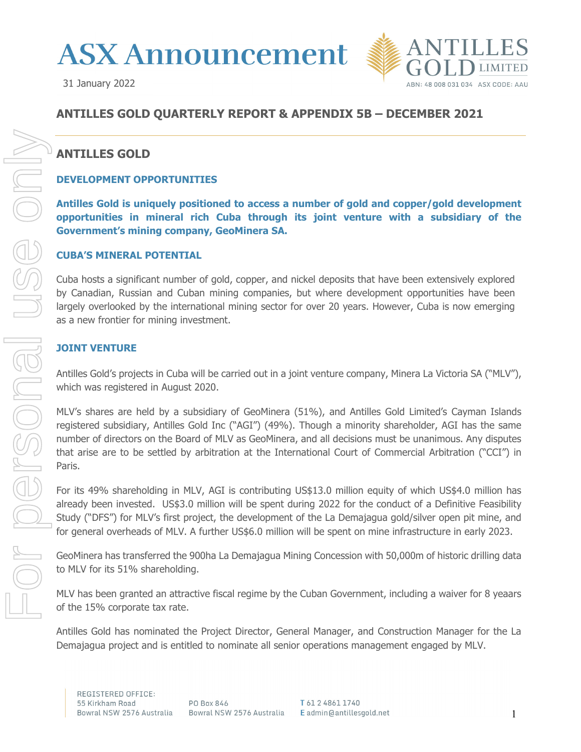



# **ANTILLES GOLD QUARTERLY REPORT & APPENDIX 5B – DECEMBER 2021**

# **ANTILLES GOLD**

# **DEVELOPMENT OPPORTUNITIES**

**Antilles Gold is uniquely positioned to access a number of gold and copper/gold development opportunities in mineral rich Cuba through its joint venture with a subsidiary of the Government's mining company, GeoMinera SA.** 

# **CUBA'S MINERAL POTENTIAL**

Cuba hosts a significant number of gold, copper, and nickel deposits that have been extensively explored by Canadian, Russian and Cuban mining companies, but where development opportunities have been largely overlooked by the international mining sector for over 20 years. However, Cuba is now emerging as a new frontier for mining investment.

# **JOINT VENTURE**

Antilles Gold's projects in Cuba will be carried out in a joint venture company, Minera La Victoria SA ("MLV"), which was registered in August 2020.

MLV's shares are held by a subsidiary of GeoMinera (51%), and Antilles Gold Limited's Cayman Islands registered subsidiary, Antilles Gold Inc ("AGI") (49%). Though a minority shareholder, AGI has the same number of directors on the Board of MLV as GeoMinera, and all decisions must be unanimous. Any disputes that arise are to be settled by arbitration at the International Court of Commercial Arbitration ("CCI") in Paris.

For its 49% shareholding in MLV, AGI is contributing US\$13.0 million equity of which US\$4.0 million has already been invested. US\$3.0 million will be spent during 2022 for the conduct of a Definitive Feasibility Study ("DFS") for MLV's first project, the development of the La Demajagua gold/silver open pit mine, and for general overheads of MLV. A further US\$6.0 million will be spent on mine infrastructure in early 2023.

GeoMinera has transferred the 900ha La Demajagua Mining Concession with 50,000m of historic drilling data to MLV for its 51% shareholding.

MLV has been granted an attractive fiscal regime by the Cuban Government, including a waiver for 8 yeaars of the 15% corporate tax rate.

Antilles Gold has nominated the Project Director, General Manager, and Construction Manager for the La Demajagua project and is entitled to nominate all senior operations management engaged by MLV.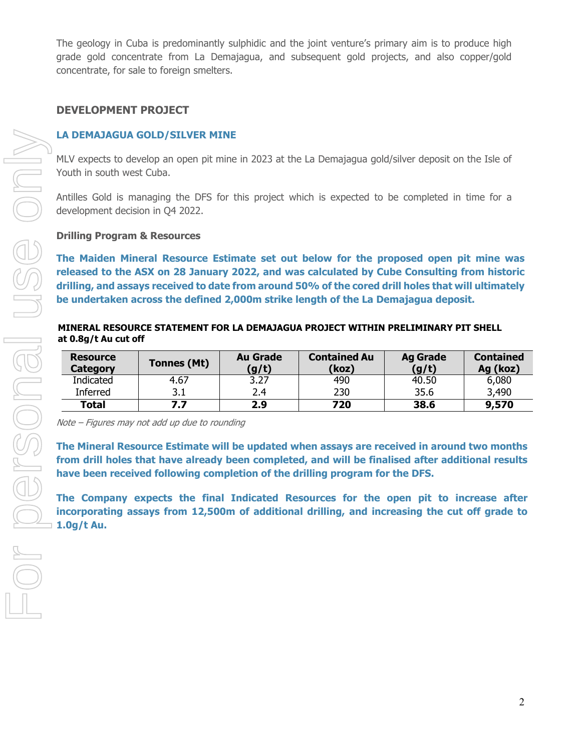The geology in Cuba is predominantly sulphidic and the joint venture's primary aim is to produce high grade gold concentrate from La Demajagua, and subsequent gold projects, and also copper/gold concentrate, for sale to foreign smelters.

# **DEVELOPMENT PROJECT**

#### **LA DEMAJAGUA GOLD/SILVER MINE**

MLV expects to develop an open pit mine in 2023 at the La Demajagua gold/silver deposit on the Isle of Youth in south west Cuba.

Antilles Gold is managing the DFS for this project which is expected to be completed in time for a development decision in Q4 2022.

#### **Drilling Program & Resources**

**The Maiden Mineral Resource Estimate set out below for the proposed open pit mine was released to the ASX on 28 January 2022, and was calculated by Cube Consulting from historic drilling, and assays received to date from around 50% of the cored drill holes that will ultimately be undertaken across the defined 2,000m strike length of the La Demajagua deposit.** 

#### **MINERAL RESOURCE STATEMENT FOR LA DEMAJAGUA PROJECT WITHIN PRELIMINARY PIT SHELL at 0.8g/t Au cut off**

| <b>Resource</b><br><b>Category</b> | Tonnes (Mt) | <b>Au Grade</b><br>(g/t) | <b>Contained Au</b><br>(koz) | <b>Ag Grade</b><br>(g/t) | <b>Contained</b><br>Ag (koz) |
|------------------------------------|-------------|--------------------------|------------------------------|--------------------------|------------------------------|
| Indicated                          | 4.67        | 3.27                     | 490                          | 40.50                    | 6,080                        |
| Inferred                           | 3.1         | 2.4                      | 230                          | 35.6                     | 3,490                        |
| <b>Total</b>                       | 7.7         | 2.9                      | 720                          | 38.6                     | 9,570                        |

Note – Figures may not add up due to rounding

**The Mineral Resource Estimate will be updated when assays are received in around two months from drill holes that have already been completed, and will be finalised after additional results have been received following completion of the drilling program for the DFS.** 

**The Company expects the final Indicated Resources for the open pit to increase after incorporating assays from 12,500m of additional drilling, and increasing the cut off grade to 1.0g/t Au.**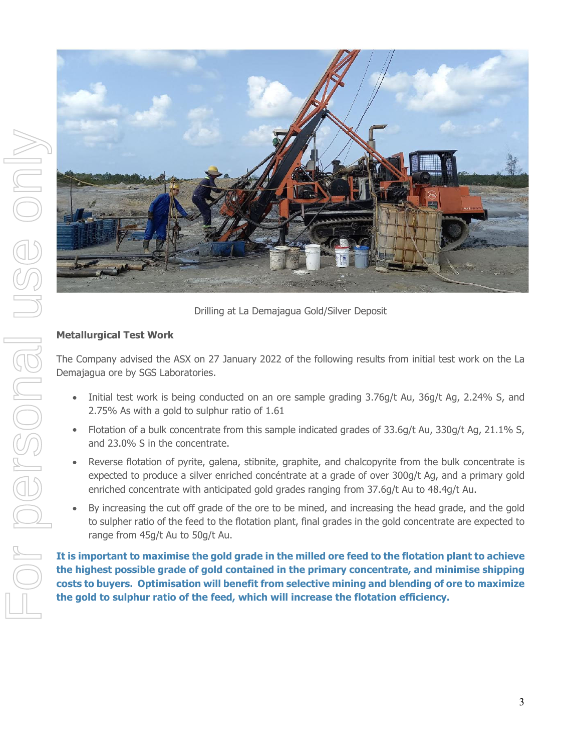

Drilling at La Demajagua Gold/Silver Deposit

# **Metallurgical Test Work**

The Company advised the ASX on 27 January 2022 of the following results from initial test work on the La Demajagua ore by SGS Laboratories.

- Initial test work is being conducted on an ore sample grading 3.76g/t Au, 36g/t Ag, 2.24% S, and 2.75% As with a gold to sulphur ratio of 1.61
- Flotation of a bulk concentrate from this sample indicated grades of 33.6g/t Au, 330g/t Ag, 21.1% S, and 23.0% S in the concentrate.
- Reverse flotation of pyrite, galena, stibnite, graphite, and chalcopyrite from the bulk concentrate is expected to produce a silver enriched concéntrate at a grade of over 300g/t Ag, and a primary gold enriched concentrate with anticipated gold grades ranging from 37.6g/t Au to 48.4g/t Au.
- By increasing the cut off grade of the ore to be mined, and increasing the head grade, and the gold to sulpher ratio of the feed to the flotation plant, final grades in the gold concentrate are expected to range from 45g/t Au to 50g/t Au.

**It is important to maximise the gold grade in the milled ore feed to the flotation plant to achieve the highest possible grade of gold contained in the primary concentrate, and minimise shipping costs to buyers. Optimisation will benefit from selective mining and blending of ore to maximize the gold to sulphur ratio of the feed, which will increase the flotation efficiency.**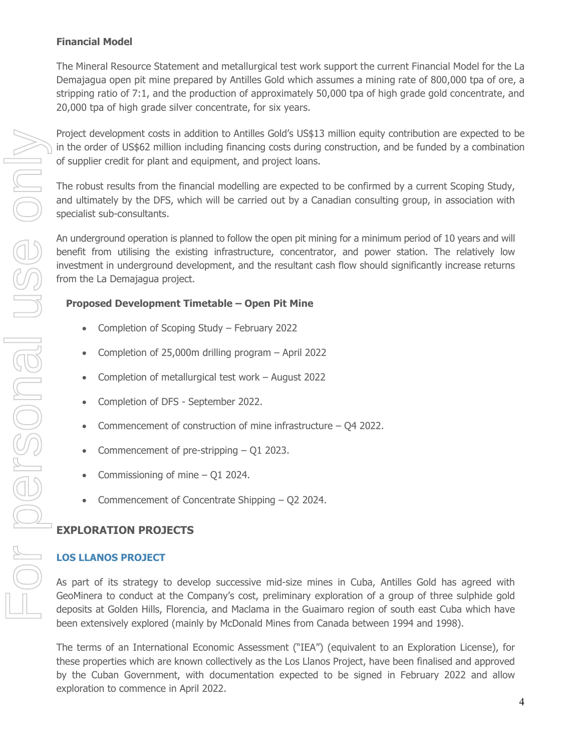# **Financial Model**

The Mineral Resource Statement and metallurgical test work support the current Financial Model for the La Demajagua open pit mine prepared by Antilles Gold which assumes a mining rate of 800,000 tpa of ore, a stripping ratio of 7:1, and the production of approximately 50,000 tpa of high grade gold concentrate, and 20,000 tpa of high grade silver concentrate, for six years.

Project development costs in addition to Antilles Gold's US\$13 million equity contribution are expected to be in the order of US\$62 million including financing costs during construction, and be funded by a combination of supplier credit for plant and equipment, and project loans.

The robust results from the financial modelling are expected to be confirmed by a current Scoping Study, and ultimately by the DFS, which will be carried out by a Canadian consulting group, in association with specialist sub-consultants.

An underground operation is planned to follow the open pit mining for a minimum period of 10 years and will benefit from utilising the existing infrastructure, concentrator, and power station. The relatively low investment in underground development, and the resultant cash flow should significantly increase returns from the La Demajagua project.

# **Proposed Development Timetable – Open Pit Mine**

- Completion of Scoping Study February 2022
- Completion of 25,000m drilling program April 2022
- Completion of metallurgical test work August 2022
- Completion of DFS September 2022.
- Commencement of construction of mine infrastructure Q4 2022.
- Commencement of pre-stripping Q1 2023.
- Commissioning of mine Q1 2024.
- Commencement of Concentrate Shipping Q2 2024.

# **EXPLORATION PROJECTS**

# **LOS LLANOS PROJECT**

As part of its strategy to develop successive mid-size mines in Cuba, Antilles Gold has agreed with GeoMinera to conduct at the Company's cost, preliminary exploration of a group of three sulphide gold deposits at Golden Hills, Florencia, and Maclama in the Guaimaro region of south east Cuba which have been extensively explored (mainly by McDonald Mines from Canada between 1994 and 1998).

The terms of an International Economic Assessment ("IEA") (equivalent to an Exploration License), for these properties which are known collectively as the Los Llanos Project, have been finalised and approved by the Cuban Government, with documentation expected to be signed in February 2022 and allow exploration to commence in April 2022.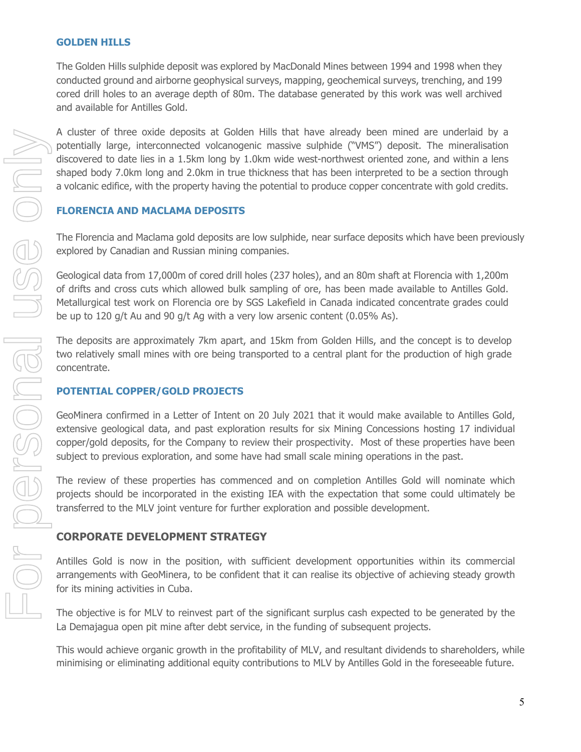# **GOLDEN HILLS**

The Golden Hills sulphide deposit was explored by MacDonald Mines between 1994 and 1998 when they conducted ground and airborne geophysical surveys, mapping, geochemical surveys, trenching, and 199 cored drill holes to an average depth of 80m. The database generated by this work was well archived and available for Antilles Gold.

A cluster of three oxide deposits at Golden Hills that have already been mined are underlaid by a potentially large, interconnected volcanogenic massive sulphide ("VMS") deposit. The mineralisation discovered to date lies in a 1.5km long by 1.0km wide west-northwest oriented zone, and within a lens shaped body 7.0km long and 2.0km in true thickness that has been interpreted to be a section through a volcanic edifice, with the property having the potential to produce copper concentrate with gold credits.

# **FLORENCIA AND MACLAMA DEPOSITS**

The Florencia and Maclama gold deposits are low sulphide, near surface deposits which have been previously explored by Canadian and Russian mining companies.

Geological data from 17,000m of cored drill holes (237 holes), and an 80m shaft at Florencia with 1,200m of drifts and cross cuts which allowed bulk sampling of ore, has been made available to Antilles Gold. Metallurgical test work on Florencia ore by SGS Lakefield in Canada indicated concentrate grades could be up to 120 g/t Au and 90 g/t Ag with a very low arsenic content (0.05% As).

The deposits are approximately 7km apart, and 15km from Golden Hills, and the concept is to develop two relatively small mines with ore being transported to a central plant for the production of high grade concentrate.

# **POTENTIAL COPPER/GOLD PROJECTS**

GeoMinera confirmed in a Letter of Intent on 20 July 2021 that it would make available to Antilles Gold, extensive geological data, and past exploration results for six Mining Concessions hosting 17 individual copper/gold deposits, for the Company to review their prospectivity. Most of these properties have been subject to previous exploration, and some have had small scale mining operations in the past.

The review of these properties has commenced and on completion Antilles Gold will nominate which projects should be incorporated in the existing IEA with the expectation that some could ultimately be transferred to the MLV joint venture for further exploration and possible development.

# **CORPORATE DEVELOPMENT STRATEGY**

Antilles Gold is now in the position, with sufficient development opportunities within its commercial arrangements with GeoMinera, to be confident that it can realise its objective of achieving steady growth for its mining activities in Cuba.

The objective is for MLV to reinvest part of the significant surplus cash expected to be generated by the La Demajagua open pit mine after debt service, in the funding of subsequent projects.

This would achieve organic growth in the profitability of MLV, and resultant dividends to shareholders, while minimising or eliminating additional equity contributions to MLV by Antilles Gold in the foreseeable future.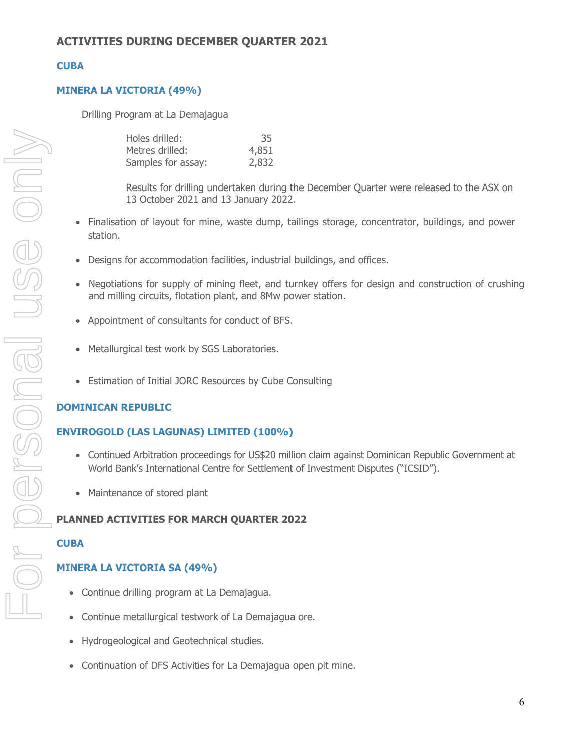# **CUBA**

# **MINERA LA VICTORIA (49%)**

Drilling Program at La Demajagua

| Holes drilled:     | 35    |
|--------------------|-------|
| Metres drilled:    | 4,851 |
| Samples for assay: | 2,832 |

Results for drilling undertaken during the December Quarter were released to the ASX on 13 October 2021 and 13 January 2022.

- Finalisation of layout for mine, waste dump, tailings storage, concentrator, buildings, and power station.
- Designs for accommodation facilities, industrial buildings, and offices.
- Negotiations for supply of mining fleet, and turnkey offers for design and construction of crushing and milling circuits, flotation plant, and 8Mw power station.
- Appointment of consultants for conduct of BFS.
- Metallurgical test work by SGS Laboratories.
- Estimation of Initial JORC Resources by Cube Consulting

# **DOMINICAN REPUBLIC**

# **ENVIROGOLD (LAS LAGUNAS) LIMITED (100%)**

- Continued Arbitration proceedings for US\$20 million claim against Dominican Republic Government at World Bank's International Centre for Settlement of Investment Disputes ("ICSID").
- Maintenance of stored plant

# **PLANNED ACTIVITIES FOR MARCH QUARTER 2022**

# **CUBA**

# **MINERA LA VICTORIA SA (49%)**

- Continue drilling program at La Demajagua.
- Continue metallurgical testwork of La Demajagua ore.
- Hydrogeological and Geotechnical studies.
- Continuation of DFS Activities for La Demajagua open pit mine.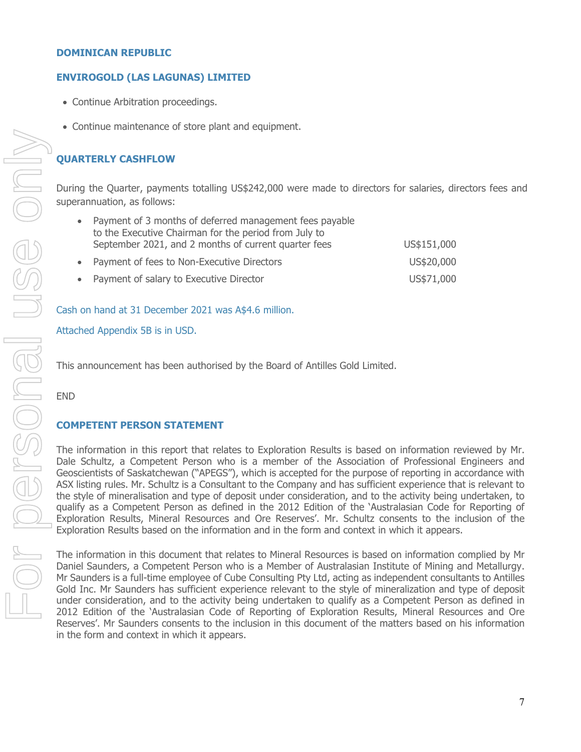#### **DOMINICAN REPUBLIC**

#### **ENVIROGOLD (LAS LAGUNAS) LIMITED**

- Continue Arbitration proceedings.
- Continue maintenance of store plant and equipment.

#### **QUARTERLY CASHFLOW**

During the Quarter, payments totalling US\$242,000 were made to directors for salaries, directors fees and superannuation, as follows:

| Payment of 3 months of deferred management fees payable                                                       |             |
|---------------------------------------------------------------------------------------------------------------|-------------|
| to the Executive Chairman for the period from July to<br>September 2021, and 2 months of current quarter fees | US\$151,000 |
| • Payment of fees to Non-Executive Directors                                                                  | US\$20,000  |
| • Payment of salary to Executive Director                                                                     | US\$71,000  |

#### Cash on hand at 31 December 2021 was A\$4.6 million.

Attached Appendix 5B is in USD.

This announcement has been authorised by the Board of Antilles Gold Limited.

END

#### **COMPETENT PERSON STATEMENT**

The information in this report that relates to Exploration Results is based on information reviewed by Mr. Dale Schultz, a Competent Person who is a member of the Association of Professional Engineers and Geoscientists of Saskatchewan ("APEGS"), which is accepted for the purpose of reporting in accordance with ASX listing rules. Mr. Schultz is a Consultant to the Company and has sufficient experience that is relevant to the style of mineralisation and type of deposit under consideration, and to the activity being undertaken, to qualify as a Competent Person as defined in the 2012 Edition of the 'Australasian Code for Reporting of Exploration Results, Mineral Resources and Ore Reserves'. Mr. Schultz consents to the inclusion of the Exploration Results based on the information and in the form and context in which it appears.

The information in this document that relates to Mineral Resources is based on information complied by Mr Daniel Saunders, a Competent Person who is a Member of Australasian Institute of Mining and Metallurgy. Mr Saunders is a full-time employee of Cube Consulting Pty Ltd, acting as independent consultants to Antilles Gold Inc. Mr Saunders has sufficient experience relevant to the style of mineralization and type of deposit under consideration, and to the activity being undertaken to qualify as a Competent Person as defined in 2012 Edition of the 'Australasian Code of Reporting of Exploration Results, Mineral Resources and Ore Reserves'. Mr Saunders consents to the inclusion in this document of the matters based on his information in the form and context in which it appears.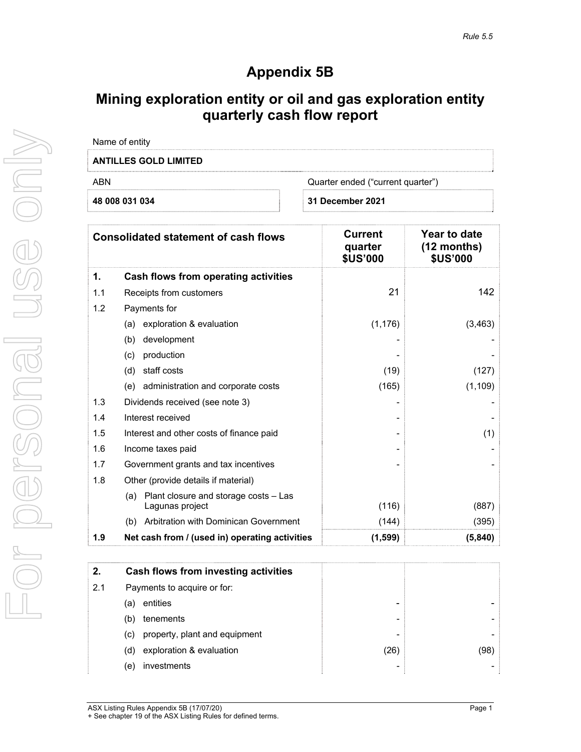# **Appendix 5B**

# **Mining exploration entity or oil and gas exploration entity quarterly cash flow report**

| Name of entity               |                                   |
|------------------------------|-----------------------------------|
| <b>ANTILLES GOLD LIMITED</b> |                                   |
| ARN                          | Quarter ended ("current quarter") |
| 48 008 031 034               | 31 December 2021                  |
|                              |                                   |

|     | <b>Consolidated statement of cash flows</b>                     | Current<br>quarter<br><b>\$US'000</b> | Year to date<br>$(12$ months)<br><b>\$US'000</b> |
|-----|-----------------------------------------------------------------|---------------------------------------|--------------------------------------------------|
| 1.  | Cash flows from operating activities                            |                                       |                                                  |
| 1.1 | Receipts from customers                                         | 21                                    | 142                                              |
| 1.2 | Payments for                                                    |                                       |                                                  |
|     | (a) exploration & evaluation                                    | (1, 176)                              | (3, 463)                                         |
|     | development<br>(b)                                              |                                       |                                                  |
|     | production<br>(c)                                               |                                       |                                                  |
|     | staff costs<br>(d)                                              | (19)                                  | (127)                                            |
|     | administration and corporate costs<br>(e)                       | (165)                                 | (1, 109)                                         |
| 1.3 | Dividends received (see note 3)                                 |                                       |                                                  |
| 1.4 | Interest received                                               |                                       |                                                  |
| 1.5 | Interest and other costs of finance paid                        |                                       | (1)                                              |
| 1.6 | Income taxes paid                                               |                                       |                                                  |
| 1.7 | Government grants and tax incentives                            |                                       |                                                  |
| 1.8 | Other (provide details if material)                             |                                       |                                                  |
|     | Plant closure and storage costs - Las<br>(a)<br>Lagunas project | (116)                                 | (887)                                            |
|     | Arbitration with Dominican Government<br>(b)                    | (144)                                 | (395)                                            |
| 1.9 | Net cash from / (used in) operating activities                  | (1, 599)                              | (5,840)                                          |

| 2.  | Cash flows from investing activities |                 |      |
|-----|--------------------------------------|-----------------|------|
| 2.1 | Payments to acquire or for:          |                 |      |
|     | entities<br>(a)                      | $\qquad \qquad$ |      |
|     | tenements<br>(b)                     | ۰               |      |
|     | property, plant and equipment<br>(c) | ۰               |      |
|     | exploration & evaluation<br>(d)      | (26)            | (98) |
|     | investments<br>(e)                   | ۰               |      |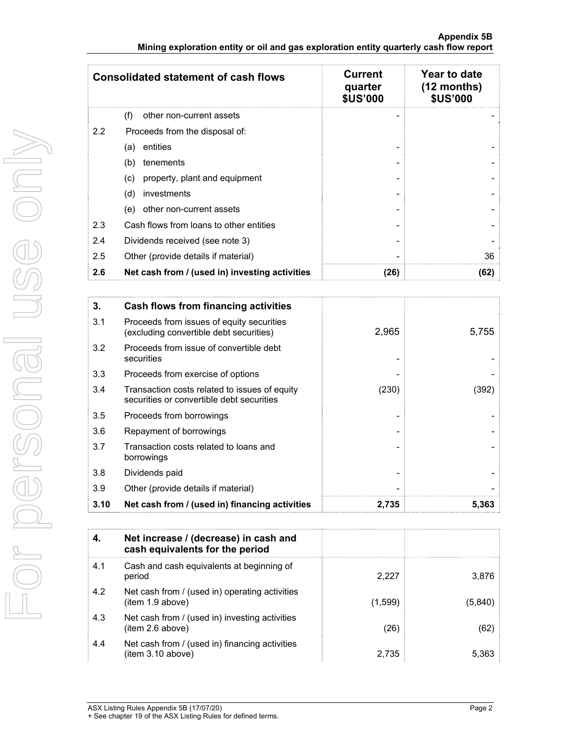|                                                                                        |  | Appendix 5B |
|----------------------------------------------------------------------------------------|--|-------------|
| Mining exploration entity or oil and gas exploration entity quarterly cash flow report |  |             |

|               | <b>Consolidated statement of cash flows</b>    | <b>Current</b><br>quarter<br><b>\$US'000</b> | Year to date<br>$(12$ months)<br><b>\$US'000</b> |
|---------------|------------------------------------------------|----------------------------------------------|--------------------------------------------------|
|               | (f)<br>other non-current assets                |                                              |                                                  |
| $2.2^{\circ}$ | Proceeds from the disposal of:                 |                                              |                                                  |
|               | entities<br>(a)                                |                                              |                                                  |
|               | tenements<br>(b)                               |                                              |                                                  |
|               | property, plant and equipment<br>(c)           |                                              |                                                  |
|               | investments<br>(d)                             |                                              |                                                  |
|               | other non-current assets<br>(e)                |                                              |                                                  |
| 2.3           | Cash flows from loans to other entities        |                                              |                                                  |
| 2.4           | Dividends received (see note 3)                |                                              |                                                  |
| 2.5           | Other (provide details if material)            |                                              | 36                                               |
| 2.6           | Net cash from / (used in) investing activities | (26)                                         | (62)                                             |

| 3.   | Cash flows from financing activities                                                       |       |       |
|------|--------------------------------------------------------------------------------------------|-------|-------|
| 3.1  | Proceeds from issues of equity securities<br>(excluding convertible debt securities)       | 2,965 | 5,755 |
| 3.2  | Proceeds from issue of convertible debt<br>securities                                      |       |       |
| 3.3  | Proceeds from exercise of options                                                          |       |       |
| 3.4  | Transaction costs related to issues of equity<br>securities or convertible debt securities | (230) | (392) |
| 3.5  | Proceeds from borrowings                                                                   |       |       |
| 3.6  | Repayment of borrowings                                                                    |       |       |
| 3.7  | Transaction costs related to loans and<br>borrowings                                       |       |       |
| 3.8  | Dividends paid                                                                             |       |       |
| 3.9  | Other (provide details if material)                                                        |       |       |
| 3.10 | Net cash from / (used in) financing activities                                             | 2,735 | 5,363 |

| 4.  | Net increase / (decrease) in cash and<br>cash equivalents for the period |         |         |
|-----|--------------------------------------------------------------------------|---------|---------|
| 4.1 | Cash and cash equivalents at beginning of<br>period                      | 2,227   | 3,876   |
| 4.2 | Net cash from / (used in) operating activities<br>item 1.9 above)        | (1,599) | (5,840) |
| 4.3 | Net cash from / (used in) investing activities<br>(item 2.6 above)       | (26)    | (62)    |
| 4.4 | Net cash from / (used in) financing activities<br>(item 3.10 above)      | 2,735   | 5,363   |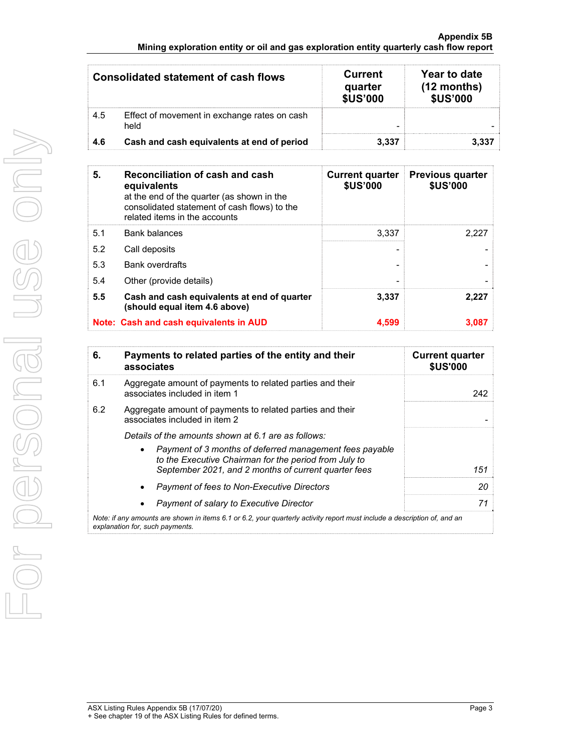#### **Appendix 5B Mining exploration entity or oil and gas exploration entity quarterly cash flow report**

|      | Consolidated statement of cash flows                 | <b>Current</b><br>quarter<br><b>\$US'000</b> | Year to date<br>$(12$ months)<br><b>\$US'000</b> |
|------|------------------------------------------------------|----------------------------------------------|--------------------------------------------------|
| 4.5  | Effect of movement in exchange rates on cash<br>held |                                              |                                                  |
| -4.6 | Cash and cash equivalents at end of period           | 3.337                                        |                                                  |

| 5.  | Reconciliation of cash and cash<br>equivalents<br>at the end of the quarter (as shown in the<br>consolidated statement of cash flows) to the<br>related items in the accounts | <b>Current quarter</b><br><b>\$US'000</b> | <b>Previous quarter</b><br><b>\$US'000</b> |
|-----|-------------------------------------------------------------------------------------------------------------------------------------------------------------------------------|-------------------------------------------|--------------------------------------------|
| 5.1 | <b>Bank balances</b>                                                                                                                                                          | 3.337                                     | 2.227                                      |
| 5.2 | Call deposits                                                                                                                                                                 |                                           |                                            |
| 5.3 | <b>Bank overdrafts</b>                                                                                                                                                        |                                           |                                            |
| 5.4 | Other (provide details)                                                                                                                                                       |                                           |                                            |
| 5.5 | Cash and cash equivalents at end of quarter<br>(should equal item 4.6 above)                                                                                                  | 3,337                                     | 2,227                                      |
|     | Note: Cash and cash equivalents in AUD                                                                                                                                        | 4,599                                     | 3.087                                      |

| 6.                                                                                                                                                          | Payments to related parties of the entity and their<br>associates                                                                                                        | <b>Current quarter</b><br><b>\$US'000</b> |  |
|-------------------------------------------------------------------------------------------------------------------------------------------------------------|--------------------------------------------------------------------------------------------------------------------------------------------------------------------------|-------------------------------------------|--|
| 6.1                                                                                                                                                         | Aggregate amount of payments to related parties and their<br>associates included in item 1                                                                               | 242                                       |  |
| 6.2                                                                                                                                                         | Aggregate amount of payments to related parties and their<br>associates included in item 2                                                                               |                                           |  |
|                                                                                                                                                             | Details of the amounts shown at 6.1 are as follows:                                                                                                                      |                                           |  |
|                                                                                                                                                             | Payment of 3 months of deferred management fees payable<br>to the Executive Chairman for the period from July to<br>September 2021, and 2 months of current quarter fees | 151                                       |  |
|                                                                                                                                                             | Payment of fees to Non-Executive Directors                                                                                                                               | 20                                        |  |
|                                                                                                                                                             | Payment of salary to Executive Director                                                                                                                                  | 71                                        |  |
| Note: if any amounts are shown in items 6.1 or 6.2, your quarterly activity report must include a description of, and an<br>explanation for, such payments. |                                                                                                                                                                          |                                           |  |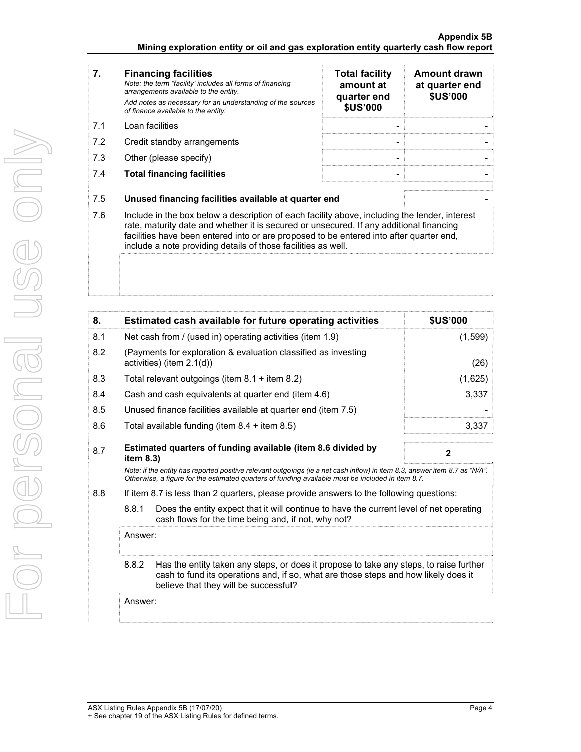#### **Appendix 5B Mining exploration entity or oil and gas exploration entity quarterly cash flow report**

| 7.  | <b>Financing facilities</b><br>Note: the term "facility' includes all forms of financing<br>arrangements available to the entity.<br>Add notes as necessary for an understanding of the sources<br>of finance available to the entity.                                                                                                               | <b>Total facility</b><br>amount at<br>quarter end<br><b>\$US'000</b> | Amount drawn<br>at quarter end<br><b>\$US'000</b> |
|-----|------------------------------------------------------------------------------------------------------------------------------------------------------------------------------------------------------------------------------------------------------------------------------------------------------------------------------------------------------|----------------------------------------------------------------------|---------------------------------------------------|
| 7.1 | Loan facilities                                                                                                                                                                                                                                                                                                                                      |                                                                      |                                                   |
| 7.2 | Credit standby arrangements                                                                                                                                                                                                                                                                                                                          |                                                                      |                                                   |
| 7.3 | Other (please specify)                                                                                                                                                                                                                                                                                                                               |                                                                      |                                                   |
| 7.4 | <b>Total financing facilities</b>                                                                                                                                                                                                                                                                                                                    |                                                                      |                                                   |
| 7.5 | Unused financing facilities available at quarter end                                                                                                                                                                                                                                                                                                 |                                                                      |                                                   |
| 7.6 | Include in the box below a description of each facility above, including the lender, interest<br>rate, maturity date and whether it is secured or unsecured. If any additional financing<br>facilities have been entered into or are proposed to be entered into after quarter end,<br>include a note providing details of those facilities as well. |                                                                      |                                                   |
|     |                                                                                                                                                                                                                                                                                                                                                      |                                                                      |                                                   |

| 8.  | Estimated cash available for future operating activities                                                                                                                                                                        | <b>\$US'000</b> |  |  |
|-----|---------------------------------------------------------------------------------------------------------------------------------------------------------------------------------------------------------------------------------|-----------------|--|--|
| 8.1 | Net cash from / (used in) operating activities (item 1.9)                                                                                                                                                                       | (1,599)         |  |  |
| 8.2 | (Payments for exploration & evaluation classified as investing<br>activities) (item 2.1(d))                                                                                                                                     | (26)            |  |  |
| 8.3 | Total relevant outgoings (item 8.1 + item 8.2)                                                                                                                                                                                  | (1,625)         |  |  |
| 8.4 | Cash and cash equivalents at quarter end (item 4.6)                                                                                                                                                                             | 3,337           |  |  |
| 8.5 | Unused finance facilities available at quarter end (item 7.5)                                                                                                                                                                   |                 |  |  |
| 8.6 | Total available funding (item $8.4 +$ item $8.5$ )                                                                                                                                                                              | 3,337           |  |  |
| 8.7 | Estimated quarters of funding available (item 8.6 divided by<br>item $8.3$ )                                                                                                                                                    | $\mathbf{2}$    |  |  |
|     | Note: if the entity has reported positive relevant outgoings (ie a net cash inflow) in item 8.3, answer item 8.7 as "N/A".<br>Otherwise, a figure for the estimated quarters of funding available must be included in item 8.7. |                 |  |  |
| 8.8 | If item 8.7 is less than 2 quarters, please provide answers to the following questions:                                                                                                                                         |                 |  |  |
|     | 8.8.1<br>Does the entity expect that it will continue to have the current level of net operating<br>cash flows for the time being and, if not, why not?                                                                         |                 |  |  |
|     | Answer:                                                                                                                                                                                                                         |                 |  |  |
|     | 8.8.2<br>Has the entity taken any steps, or does it propose to take any steps, to raise further<br>cash to fund its operations and, if so, what are those steps and how likely does it<br>believe that they will be successful? |                 |  |  |
|     | Answer:                                                                                                                                                                                                                         |                 |  |  |